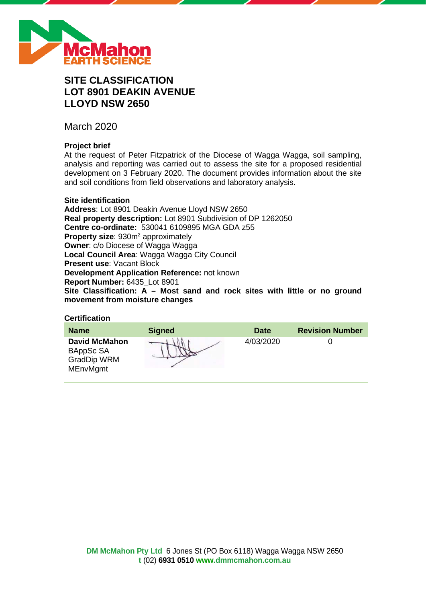

# **SITE CLASSIFICATION LOT 8901 DEAKIN AVENUE LLOYD NSW 2650**

March 2020

# **Project brief**

At the request of Peter Fitzpatrick of the Diocese of Wagga Wagga, soil sampling, analysis and reporting was carried out to assess the site for a proposed residential development on 3 February 2020. The document provides information about the site and soil conditions from field observations and laboratory analysis.

#### **Site identification**

**Address**: Lot 8901 Deakin Avenue Lloyd NSW 2650 **Real property description:** Lot 8901 Subdivision of DP 1262050 **Centre co-ordinate:** 530041 6109895 MGA GDA z55 **Property size: 930m<sup>2</sup> approximately Owner**: c/o Diocese of Wagga Wagga **Local Council Area**: Wagga Wagga City Council **Present use**: Vacant Block **Development Application Reference:** not known **Report Number:** 6435\_Lot 8901 **Site Classification: A – Most sand and rock sites with little or no ground movement from moisture changes**

# **Certification**

| <b>Name</b>                                                                | <b>Signed</b> | <b>Date</b> | <b>Revision Number</b> |
|----------------------------------------------------------------------------|---------------|-------------|------------------------|
| <b>David McMahon</b><br>BAppSc SA<br><b>GradDip WRM</b><br><b>MEnvMgmt</b> |               | 4/03/2020   |                        |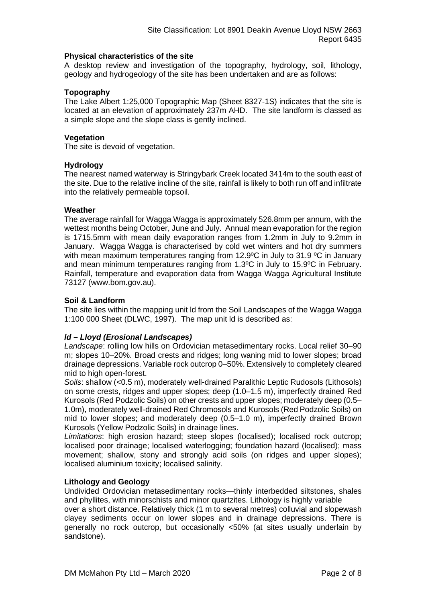#### **Physical characteristics of the site**

A desktop review and investigation of the topography, hydrology, soil, lithology, geology and hydrogeology of the site has been undertaken and are as follows:

# **Topography**

The Lake Albert 1:25,000 Topographic Map (Sheet 8327-1S) indicates that the site is located at an elevation of approximately 237m AHD. The site landform is classed as a simple slope and the slope class is gently inclined.

# **Vegetation**

The site is devoid of vegetation.

#### **Hydrology**

The nearest named waterway is Stringybark Creek located 3414m to the south east of the site. Due to the relative incline of the site, rainfall is likely to both run off and infiltrate into the relatively permeable topsoil.

#### **Weather**

The average rainfall for Wagga Wagga is approximately 526.8mm per annum, with the wettest months being October, June and July. Annual mean evaporation for the region is 1715.5mm with mean daily evaporation ranges from 1.2mm in July to 9.2mm in January. Wagga Wagga is characterised by cold wet winters and hot dry summers with mean maximum temperatures ranging from 12.9°C in July to 31.9 °C in January and mean minimum temperatures ranging from 1.3ºC in July to 15.9ºC in February. Rainfall, temperature and evaporation data from Wagga Wagga Agricultural Institute 73127 (www.bom.gov.au).

# **Soil & Landform**

The site lies within the mapping unit ld from the Soil Landscapes of the Wagga Wagga 1:100 000 Sheet (DLWC, 1997). The map unit ld is described as:

# *ld – Lloyd (Erosional Landscapes)*

*Landscape*: rolling low hills on Ordovician metasedimentary rocks. Local relief 30–90 m; slopes 10–20%. Broad crests and ridges; long waning mid to lower slopes; broad drainage depressions. Variable rock outcrop 0–50%. Extensively to completely cleared mid to high open-forest.

*Soils*: shallow (<0.5 m), moderately well-drained Paralithic Leptic Rudosols (Lithosols) on some crests, ridges and upper slopes; deep (1.0–1.5 m), imperfectly drained Red Kurosols (Red Podzolic Soils) on other crests and upper slopes; moderately deep (0.5– 1.0m), moderately well-drained Red Chromosols and Kurosols (Red Podzolic Soils) on mid to lower slopes; and moderately deep (0.5–1.0 m), imperfectly drained Brown Kurosols (Yellow Podzolic Soils) in drainage lines.

*Limitations*: high erosion hazard; steep slopes (localised); localised rock outcrop; localised poor drainage; localised waterlogging; foundation hazard (localised); mass movement; shallow, stony and strongly acid soils (on ridges and upper slopes); localised aluminium toxicity; localised salinity.

# **Lithology and Geology**

Undivided Ordovician metasedimentary rocks—thinly interbedded siltstones, shales and phyllites, with minorschists and minor quartzites. Lithology is highly variable

over a short distance. Relatively thick (1 m to several metres) colluvial and slopewash clayey sediments occur on lower slopes and in drainage depressions. There is generally no rock outcrop, but occasionally <50% (at sites usually underlain by sandstone).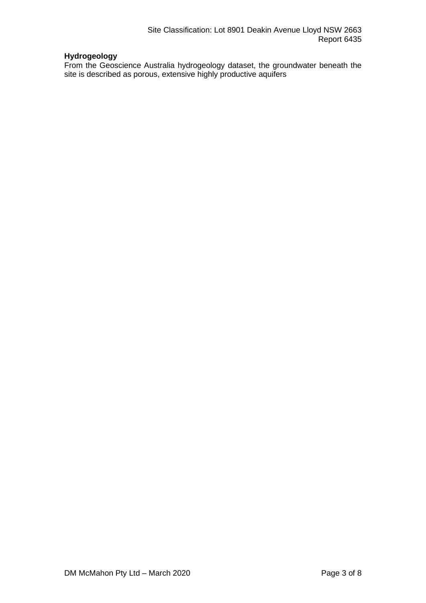# **Hydrogeology**

From the Geoscience Australia hydrogeology dataset, the groundwater beneath the site is described as porous, extensive highly productive aquifers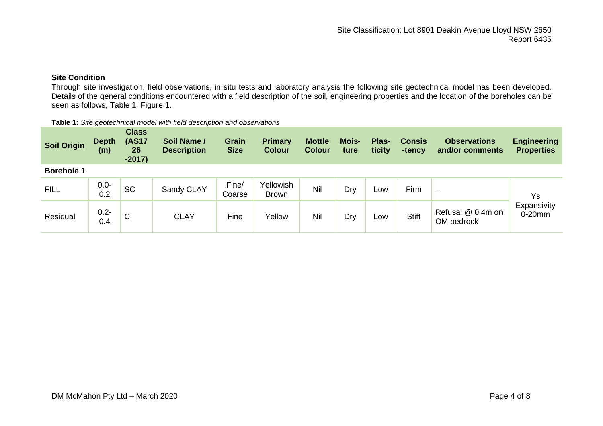# **Site Condition**

Through site investigation, field observations, in situ tests and laboratory analysis the following site geotechnical model has been developed. Details of the general conditions encountered with a field description of the soil, engineering properties and the location of the boreholes can be seen as follows, Table 1, Figure 1.

| Table 1: Site geotechnical model with field description and observations |  |
|--------------------------------------------------------------------------|--|
|--------------------------------------------------------------------------|--|

| <b>Soil Origin</b> | <b>Depth</b><br>(m) | <b>Class</b><br><b>(AS17</b><br>26<br>$-2017)$ | Soil Name /<br><b>Description</b> | <b>Grain</b><br><b>Size</b> | Primary<br><b>Colour</b>  | <b>Mottle</b><br><b>Colour</b> | <b>Mois-</b><br>ture | Plas-<br>ticity | <b>Consis</b><br>-tency | <b>Observations</b><br>and/or comments | <b>Engineering</b><br><b>Properties</b> |
|--------------------|---------------------|------------------------------------------------|-----------------------------------|-----------------------------|---------------------------|--------------------------------|----------------------|-----------------|-------------------------|----------------------------------------|-----------------------------------------|
| <b>Borehole 1</b>  |                     |                                                |                                   |                             |                           |                                |                      |                 |                         |                                        |                                         |
| <b>FILL</b>        | $0.0 -$<br>0.2      | SC                                             | Sandy CLAY                        | Fine/<br>Coarse             | Yellowish<br><b>Brown</b> | Nil                            | Dry                  | Low             | Firm                    | $\overline{\phantom{a}}$               | Ys                                      |
| Residual           | $0.2 -$<br>0.4      | CI                                             | <b>CLAY</b>                       | Fine                        | Yellow                    | Nil                            | Dry                  | Low             | <b>Stiff</b>            | Refusal @ 0.4m on<br>OM bedrock        | Expansivity<br>$0-20$ mm                |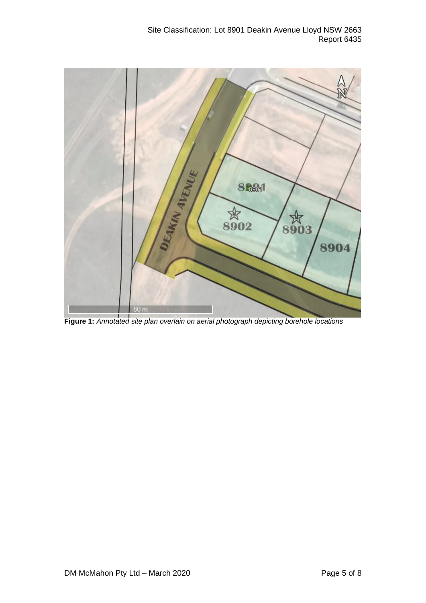

**Figure 1:** *Annotated site plan overlain on aerial photograph depicting borehole locations*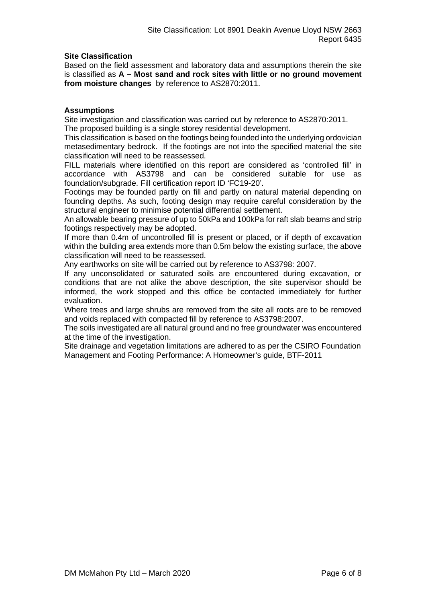# **Site Classification**

Based on the field assessment and laboratory data and assumptions therein the site is classified as **A – Most sand and rock sites with little or no ground movement from moisture changes** by reference to AS2870:2011.

#### **Assumptions**

Site investigation and classification was carried out by reference to AS2870:2011. The proposed building is a single storey residential development.

This classification is based on the footings being founded into the underlying ordovician metasedimentary bedrock. If the footings are not into the specified material the site classification will need to be reassessed.

FILL materials where identified on this report are considered as 'controlled fill' in accordance with AS3798 and can be considered suitable for use as foundation/subgrade. Fill certification report ID 'FC19-20'.

Footings may be founded partly on fill and partly on natural material depending on founding depths. As such, footing design may require careful consideration by the structural engineer to minimise potential differential settlement.

An allowable bearing pressure of up to 50kPa and 100kPa for raft slab beams and strip footings respectively may be adopted.

If more than 0.4m of uncontrolled fill is present or placed, or if depth of excavation within the building area extends more than 0.5m below the existing surface, the above classification will need to be reassessed.

Any earthworks on site will be carried out by reference to AS3798: 2007.

If any unconsolidated or saturated soils are encountered during excavation, or conditions that are not alike the above description, the site supervisor should be informed, the work stopped and this office be contacted immediately for further evaluation.

Where trees and large shrubs are removed from the site all roots are to be removed and voids replaced with compacted fill by reference to AS3798:2007.

The soils investigated are all natural ground and no free groundwater was encountered at the time of the investigation.

Site drainage and vegetation limitations are adhered to as per the CSIRO Foundation Management and Footing Performance: A Homeowner's guide, BTF-2011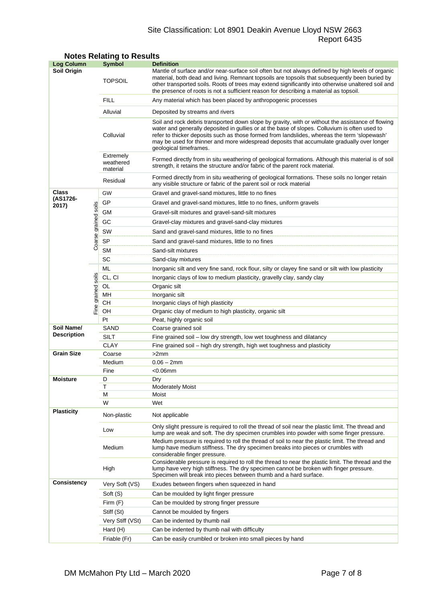# Site Classification: Lot 8901 Deakin Avenue Lloyd NSW 2663 Report 6435

| <b>Log Column</b>                |                      | <b>Symbol</b>                      | <b>Definition</b>                                                                                                                                                                                                                                                                                                                                                                                                          |  |  |  |  |
|----------------------------------|----------------------|------------------------------------|----------------------------------------------------------------------------------------------------------------------------------------------------------------------------------------------------------------------------------------------------------------------------------------------------------------------------------------------------------------------------------------------------------------------------|--|--|--|--|
| Soil Origin                      |                      | <b>TOPSOIL</b>                     | Mantle of surface and/or near-surface soil often but not always defined by high levels of organic<br>material, both dead and living. Remnant topsoils are topsoils that subsequently been buried by<br>other transported soils. Roots of trees may extend significantly into otherwise unaltered soil and<br>the presence of roots is not a sufficient reason for describing a material as topsoil.                        |  |  |  |  |
|                                  |                      | <b>FILL</b>                        | Any material which has been placed by anthropogenic processes                                                                                                                                                                                                                                                                                                                                                              |  |  |  |  |
|                                  |                      | Alluvial                           | Deposited by streams and rivers                                                                                                                                                                                                                                                                                                                                                                                            |  |  |  |  |
|                                  |                      | Colluvial                          | Soil and rock debris transported down slope by gravity, with or without the assistance of flowing<br>water and generally deposited in gullies or at the base of slopes. Colluvium is often used to<br>refer to thicker deposits such as those formed from landslides, whereas the term 'slopewash'<br>may be used for thinner and more widespread deposits that accumulate gradually over longer<br>geological timeframes. |  |  |  |  |
|                                  |                      | Extremely<br>weathered<br>material | Formed directly from in situ weathering of geological formations. Although this material is of soil<br>strength, it retains the structure and/or fabric of the parent rock material.                                                                                                                                                                                                                                       |  |  |  |  |
|                                  |                      | Residual                           | Formed directly from in situ weathering of geological formations. These soils no longer retain<br>any visible structure or fabric of the parent soil or rock material                                                                                                                                                                                                                                                      |  |  |  |  |
| Class                            |                      | GW                                 | Gravel and gravel-sand mixtures, little to no fines                                                                                                                                                                                                                                                                                                                                                                        |  |  |  |  |
| (AS1726-                         |                      | GP                                 | Gravel and gravel-sand mixtures, little to no fines, uniform gravels                                                                                                                                                                                                                                                                                                                                                       |  |  |  |  |
| 2017)                            |                      | GМ                                 | Gravel-silt mixtures and gravel-sand-silt mixtures                                                                                                                                                                                                                                                                                                                                                                         |  |  |  |  |
|                                  |                      | GC                                 | Gravel-clay mixtures and gravel-sand-clay mixtures                                                                                                                                                                                                                                                                                                                                                                         |  |  |  |  |
|                                  |                      | SW                                 | Sand and gravel-sand mixtures, little to no fines                                                                                                                                                                                                                                                                                                                                                                          |  |  |  |  |
|                                  | Coarse grained soils | SP                                 | Sand and gravel-sand mixtures, little to no fines                                                                                                                                                                                                                                                                                                                                                                          |  |  |  |  |
|                                  |                      | <b>SM</b>                          | Sand-silt mixtures                                                                                                                                                                                                                                                                                                                                                                                                         |  |  |  |  |
|                                  |                      | SC                                 | Sand-clay mixtures                                                                                                                                                                                                                                                                                                                                                                                                         |  |  |  |  |
|                                  |                      | ML                                 | Inorganic silt and very fine sand, rock flour, silty or clayey fine sand or silt with low plasticity                                                                                                                                                                                                                                                                                                                       |  |  |  |  |
|                                  |                      | CL, CI                             | Inorganic clays of low to medium plasticity, gravelly clay, sandy clay                                                                                                                                                                                                                                                                                                                                                     |  |  |  |  |
|                                  |                      | OL                                 | Organic silt                                                                                                                                                                                                                                                                                                                                                                                                               |  |  |  |  |
|                                  |                      | MН                                 | Inorganic silt                                                                                                                                                                                                                                                                                                                                                                                                             |  |  |  |  |
|                                  | Fine grained soils   | CН                                 | Inorganic clays of high plasticity                                                                                                                                                                                                                                                                                                                                                                                         |  |  |  |  |
|                                  |                      | OH                                 | Organic clay of medium to high plasticity, organic silt                                                                                                                                                                                                                                                                                                                                                                    |  |  |  |  |
|                                  |                      | Pt                                 | Peat, highly organic soil                                                                                                                                                                                                                                                                                                                                                                                                  |  |  |  |  |
| Soil Name/<br><b>Description</b> |                      | SAND                               | Coarse grained soil                                                                                                                                                                                                                                                                                                                                                                                                        |  |  |  |  |
|                                  |                      | <b>SILT</b>                        | Fine grained soil - low dry strength, low wet toughness and dilatancy                                                                                                                                                                                                                                                                                                                                                      |  |  |  |  |
|                                  |                      | <b>CLAY</b>                        | Fine grained soil - high dry strength, high wet toughness and plasticity                                                                                                                                                                                                                                                                                                                                                   |  |  |  |  |
| <b>Grain Size</b>                |                      | Coarse                             | >2mm                                                                                                                                                                                                                                                                                                                                                                                                                       |  |  |  |  |
|                                  |                      | Medium                             | $0.06 - 2mm$                                                                                                                                                                                                                                                                                                                                                                                                               |  |  |  |  |
|                                  |                      | Fine                               | <0.06mm                                                                                                                                                                                                                                                                                                                                                                                                                    |  |  |  |  |
| <b>Moisture</b>                  |                      | D<br>Τ                             | Dry<br><b>Moderately Moist</b>                                                                                                                                                                                                                                                                                                                                                                                             |  |  |  |  |
|                                  |                      | М                                  | Moist                                                                                                                                                                                                                                                                                                                                                                                                                      |  |  |  |  |
|                                  |                      | W                                  | Wet                                                                                                                                                                                                                                                                                                                                                                                                                        |  |  |  |  |
| <b>Plasticity</b>                |                      | Non-plastic                        | Not applicable                                                                                                                                                                                                                                                                                                                                                                                                             |  |  |  |  |
|                                  |                      | Low                                | Only slight pressure is required to roll the thread of soil near the plastic limit. The thread and<br>lump are weak and soft. The dry specimen crumbles into powder with some finger pressure.                                                                                                                                                                                                                             |  |  |  |  |
|                                  |                      | Medium                             | Medium pressure is required to roll the thread of soil to near the plastic limit. The thread and<br>lump have medium stiffness. The dry specimen breaks into pieces or crumbles with<br>considerable finger pressure.                                                                                                                                                                                                      |  |  |  |  |
|                                  |                      | High                               | Considerable pressure is required to roll the thread to near the plastic limit. The thread and the<br>lump have very high stiffness. The dry specimen cannot be broken with finger pressure.<br>Specimen will break into pieces between thumb and a hard surface.                                                                                                                                                          |  |  |  |  |
| <b>Consistency</b>               |                      | Very Soft (VS)                     | Exudes between fingers when squeezed in hand                                                                                                                                                                                                                                                                                                                                                                               |  |  |  |  |
|                                  |                      | Soft (S)                           | Can be moulded by light finger pressure                                                                                                                                                                                                                                                                                                                                                                                    |  |  |  |  |
|                                  |                      | Firm $(F)$                         | Can be moulded by strong finger pressure                                                                                                                                                                                                                                                                                                                                                                                   |  |  |  |  |
|                                  |                      | Stiff (St)                         | Cannot be moulded by fingers                                                                                                                                                                                                                                                                                                                                                                                               |  |  |  |  |
|                                  |                      | Very Stiff (VSt)                   | Can be indented by thumb nail                                                                                                                                                                                                                                                                                                                                                                                              |  |  |  |  |
|                                  |                      | Hard (H)                           | Can be indented by thumb nail with difficulty                                                                                                                                                                                                                                                                                                                                                                              |  |  |  |  |
|                                  |                      | Friable (Fr)                       | Can be easily crumbled or broken into small pieces by hand                                                                                                                                                                                                                                                                                                                                                                 |  |  |  |  |

# **Notes Relating to Results**